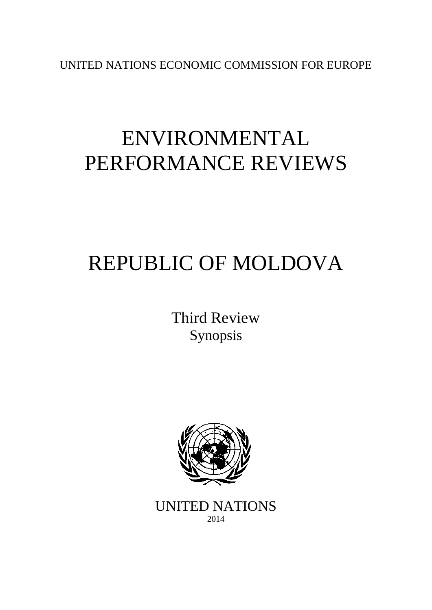UNITED NATIONS ECONOMIC COMMISSION FOR EUROPE

# ENVIRONMENTAL PERFORMANCE REVIEWS

# REPUBLIC OF MOLDOVA

Third Review Synopsis



UNITED NATIONS 2014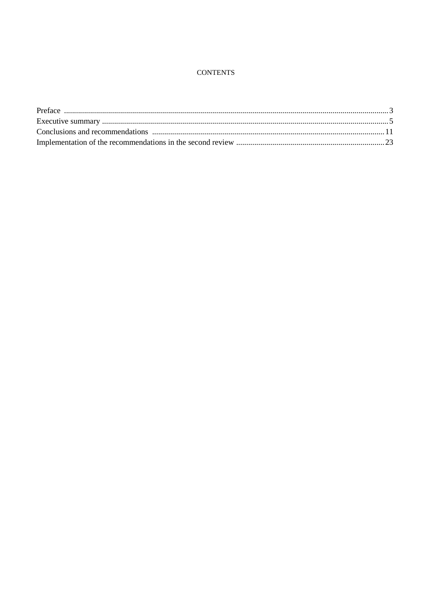#### **CONTENTS**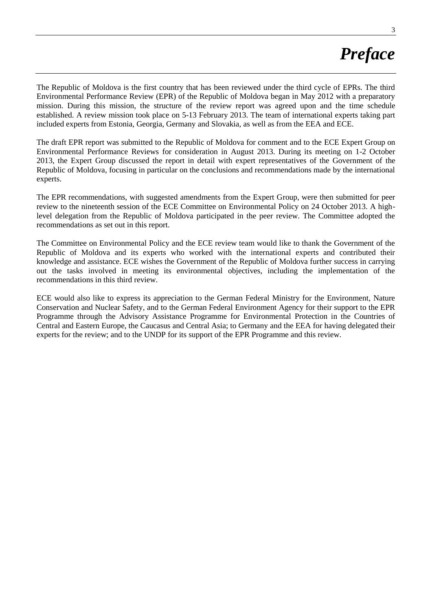# *Preface*

The Republic of Moldova is the first country that has been reviewed under the third cycle of EPRs. The third Environmental Performance Review (EPR) of the Republic of Moldova began in May 2012 with a preparatory mission. During this mission, the structure of the review report was agreed upon and the time schedule established. A review mission took place on 5-13 February 2013. The team of international experts taking part included experts from Estonia, Georgia, Germany and Slovakia, as well as from the EEA and ECE.

The draft EPR report was submitted to the Republic of Moldova for comment and to the ECE Expert Group on Environmental Performance Reviews for consideration in August 2013. During its meeting on 1-2 October 2013, the Expert Group discussed the report in detail with expert representatives of the Government of the Republic of Moldova, focusing in particular on the conclusions and recommendations made by the international experts.

The EPR recommendations, with suggested amendments from the Expert Group, were then submitted for peer review to the nineteenth session of the ECE Committee on Environmental Policy on 24 October 2013. A highlevel delegation from the Republic of Moldova participated in the peer review. The Committee adopted the recommendations as set out in this report.

The Committee on Environmental Policy and the ECE review team would like to thank the Government of the Republic of Moldova and its experts who worked with the international experts and contributed their knowledge and assistance. ECE wishes the Government of the Republic of Moldova further success in carrying out the tasks involved in meeting its environmental objectives, including the implementation of the recommendations in this third review.

ECE would also like to express its appreciation to the German Federal Ministry for the Environment, Nature Conservation and Nuclear Safety, and to the German Federal Environment Agency for their support to the EPR Programme through the Advisory Assistance Programme for Environmental Protection in the Countries of Central and Eastern Europe, the Caucasus and Central Asia; to Germany and the EEA for having delegated their experts for the review; and to the UNDP for its support of the EPR Programme and this review.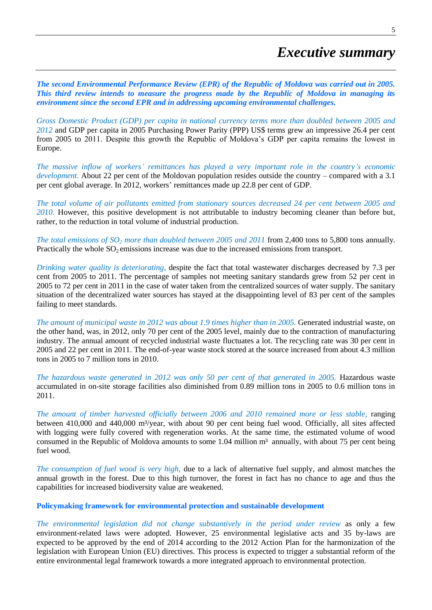# *Executive summary*

*The second Environmental Performance Review (EPR) of the Republic of Moldova was carried out in 2005. This third review intends to measure the progress made by the Republic of Moldova in managing its environment since the second EPR and in addressing upcoming environmental challenges.* 

*Gross Domestic Product (GDP) per capita in national currency terms more than doubled between 2005 and 2012* and GDP per capita in 2005 Purchasing Power Parity (PPP) US\$ terms grew an impressive 26.4 per cent from 2005 to 2011. Despite this growth the Republic of Moldova's GDP per capita remains the lowest in Europe.

*The massive inflow of workers' remittances has played a very important role in the country's economic development.* About 22 per cent of the Moldovan population resides outside the country – compared with a 3.1 per cent global average. In 2012, workers' remittances made up 22.8 per cent of GDP.

*The total volume of air pollutants emitted from stationary sources decreased 24 per cent between 2005 and 2010*. However, this positive development is not attributable to industry becoming cleaner than before but, rather, to the reduction in total volume of industrial production.

*The total emissions of SO<sup>2</sup> more than doubled between 2005 and 2011* from 2,400 tons to 5,800 tons annually. Practically the whole  $SO_2$  emissions increase was due to the increased emissions from transport.

*Drinking water quality is deteriorating,* despite the fact that total wastewater discharges decreased by 7.3 per cent from 2005 to 2011. The percentage of samples not meeting sanitary standards grew from 52 per cent in 2005 to 72 per cent in 2011 in the case of water taken from the centralized sources of water supply. The sanitary situation of the decentralized water sources has stayed at the disappointing level of 83 per cent of the samples failing to meet standards.

*The amount of municipal waste in 2012 was about 1.9 times higher than in 2005.* Generated industrial waste, on the other hand, was, in 2012, only 70 per cent of the 2005 level, mainly due to the contraction of manufacturing industry. The annual amount of recycled industrial waste fluctuates a lot. The recycling rate was 30 per cent in 2005 and 22 per cent in 2011. The end-of-year waste stock stored at the source increased from about 4.3 million tons in 2005 to 7 million tons in 2010.

*The hazardous waste generated in 2012 was only 50 per cent of that generated in 2005.* Hazardous waste accumulated in on-site storage facilities also diminished from 0.89 million tons in 2005 to 0.6 million tons in 2011.

*The amount of timber harvested officially between 2006 and 2010 remained more or less stable,* ranging between 410,000 and 440,000 m<sup>3</sup>/year, with about 90 per cent being fuel wood. Officially, all sites affected with logging were fully covered with regeneration works. At the same time, the estimated volume of wood consumed in the Republic of Moldova amounts to some 1.04 million m<sup>3</sup> annually, with about 75 per cent being fuel wood.

*The consumption of fuel wood is very high,* due to a lack of alternative fuel supply, and almost matches the annual growth in the forest. Due to this high turnover, the forest in fact has no chance to age and thus the capabilities for increased biodiversity value are weakened.

**Policymaking framework for environmental protection and sustainable development**

*The environmental legislation did not change substantively in the period under review* as only a few environment-related laws were adopted. However, 25 environmental legislative acts and 35 by-laws are expected to be approved by the end of 2014 according to the 2012 Action Plan for the harmonization of the legislation with European Union (EU) directives. This process is expected to trigger a substantial reform of the entire environmental legal framework towards a more integrated approach to environmental protection.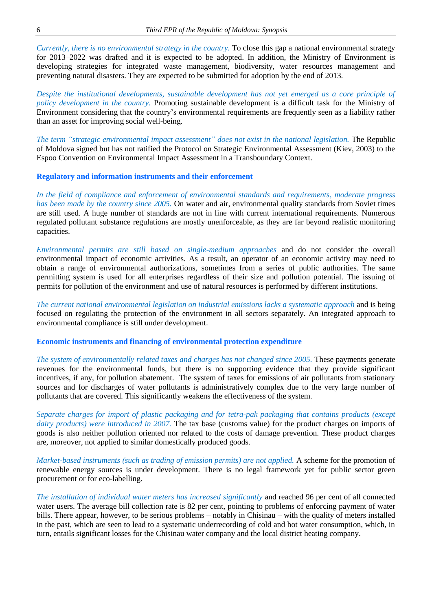*Currently, there is no environmental strategy in the country.* To close this gap a national environmental strategy for 2013–2022 was drafted and it is expected to be adopted. In addition, the Ministry of Environment is developing strategies for integrated waste management, biodiversity, water resources management and preventing natural disasters. They are expected to be submitted for adoption by the end of 2013.

*Despite the institutional developments, sustainable development has not yet emerged as a core principle of policy development in the country.* Promoting sustainable development is a difficult task for the Ministry of Environment considering that the country's environmental requirements are frequently seen as a liability rather than an asset for improving social well-being.

*The term "strategic environmental impact assessment" does not exist in the national legislation.* The Republic of Moldova signed but has not ratified the Protocol on Strategic Environmental Assessment (Kiev, 2003) to the Espoo Convention on Environmental Impact Assessment in a Transboundary Context.

#### **Regulatory and information instruments and their enforcement**

*In the field of compliance and enforcement of environmental standards and requirements, moderate progress has been made by the country since 2005.* On water and air, environmental quality standards from Soviet times are still used. A huge number of standards are not in line with current international requirements. Numerous regulated pollutant substance regulations are mostly unenforceable, as they are far beyond realistic monitoring capacities.

*Environmental permits are still based on single-medium approaches* and do not consider the overall environmental impact of economic activities. As a result, an operator of an economic activity may need to obtain a range of environmental authorizations, sometimes from a series of public authorities. The same permitting system is used for all enterprises regardless of their size and pollution potential. The issuing of permits for pollution of the environment and use of natural resources is performed by different institutions.

*The current national environmental legislation on industrial emissions lacks a systematic approach* and is being focused on regulating the protection of the environment in all sectors separately. An integrated approach to environmental compliance is still under development.

#### **Economic instruments and financing of environmental protection expenditure**

*The system of environmentally related taxes and charges has not changed since 2005.* These payments generate revenues for the environmental funds, but there is no supporting evidence that they provide significant incentives, if any, for pollution abatement. The system of taxes for emissions of air pollutants from stationary sources and for discharges of water pollutants is administratively complex due to the very large number of pollutants that are covered. This significantly weakens the effectiveness of the system.

*Separate charges for import of plastic packaging and for tetra-pak packaging that contains products (except dairy products) were introduced in 2007.* The tax base (customs value) for the product charges on imports of goods is also neither pollution oriented nor related to the costs of damage prevention. These product charges are, moreover, not applied to similar domestically produced goods.

*Market-based instruments (such as trading of emission permits) are not applied.* A scheme for the promotion of renewable energy sources is under development. There is no legal framework yet for public sector green procurement or for eco-labelling.

*The installation of individual water meters has increased significantly* and reached 96 per cent of all connected water users. The average bill collection rate is 82 per cent, pointing to problems of enforcing payment of water bills. There appear, however, to be serious problems – notably in Chisinau – with the quality of meters installed in the past, which are seen to lead to a systematic underrecording of cold and hot water consumption, which, in turn, entails significant losses for the Chisinau water company and the local district heating company.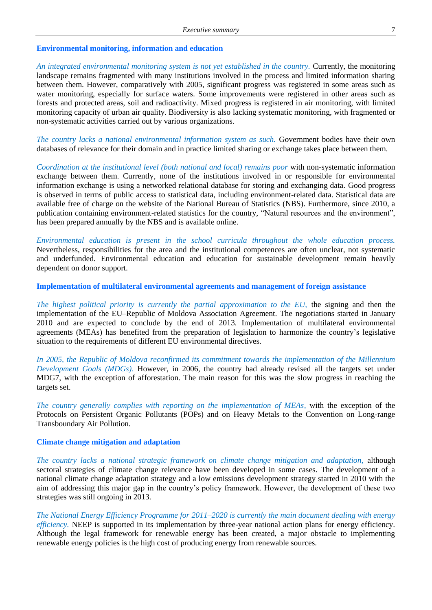#### **Environmental monitoring, information and education**

*An integrated environmental monitoring system is not yet established in the country.* Currently, the monitoring landscape remains fragmented with many institutions involved in the process and limited information sharing between them. However, comparatively with 2005, significant progress was registered in some areas such as water monitoring, especially for surface waters. Some improvements were registered in other areas such as forests and protected areas, soil and radioactivity. Mixed progress is registered in air monitoring, with limited monitoring capacity of urban air quality. Biodiversity is also lacking systematic monitoring, with fragmented or non-systematic activities carried out by various organizations.

*The country lacks a national environmental information system as such.* Government bodies have their own databases of relevance for their domain and in practice limited sharing or exchange takes place between them.

*Coordination at the institutional level (both national and local) remains poor* with non-systematic information exchange between them. Currently, none of the institutions involved in or responsible for environmental information exchange is using a networked relational database for storing and exchanging data. Good progress is observed in terms of public access to statistical data, including environment-related data. Statistical data are available free of charge on the website of the National Bureau of Statistics (NBS). Furthermore, since 2010, a publication containing environment-related statistics for the country, "Natural resources and the environment", has been prepared annually by the NBS and is available online.

*Environmental education is present in the school curricula throughout the whole education process.* Nevertheless, responsibilities for the area and the institutional competences are often unclear, not systematic and underfunded. Environmental education and education for sustainable development remain heavily dependent on donor support.

**Implementation of multilateral environmental agreements and management of foreign assistance**

*The highest political priority is currently the partial approximation to the EU,* the signing and then the implementation of the EU–Republic of Moldova Association Agreement. The negotiations started in January 2010 and are expected to conclude by the end of 2013. Implementation of multilateral environmental agreements (MEAs) has benefited from the preparation of legislation to harmonize the country's legislative situation to the requirements of different EU environmental directives.

*In 2005, the Republic of Moldova reconfirmed its commitment towards the implementation of the Millennium Development Goals (MDGs).* However, in 2006, the country had already revised all the targets set under MDG7, with the exception of afforestation. The main reason for this was the slow progress in reaching the targets set.

*The country generally complies with reporting on the implementation of MEAs,* with the exception of the Protocols on Persistent Organic Pollutants (POPs) and on Heavy Metals to the Convention on Long-range Transboundary Air Pollution.

#### **Climate change mitigation and adaptation**

*The country lacks a national strategic framework on climate change mitigation and adaptation,* although sectoral strategies of climate change relevance have been developed in some cases. The development of a national climate change adaptation strategy and a low emissions development strategy started in 2010 with the aim of addressing this major gap in the country's policy framework. However, the development of these two strategies was still ongoing in 2013.

*The National Energy Efficiency Programme for 2011–2020 is currently the main document dealing with energy efficiency.* NEEP is supported in its implementation by three-year national action plans for energy efficiency. Although the legal framework for renewable energy has been created, a major obstacle to implementing renewable energy policies is the high cost of producing energy from renewable sources.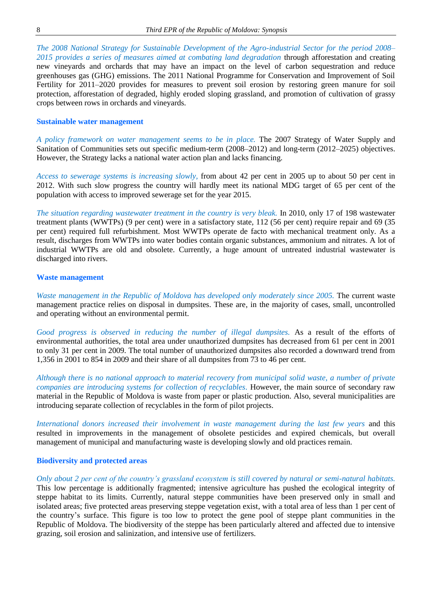*The 2008 National Strategy for Sustainable Development of the Agro-industrial Sector for the period 2008– 2015 provides a series of measures aimed at combating land degradation* through afforestation and creating new vineyards and orchards that may have an impact on the level of carbon sequestration and reduce greenhouses gas (GHG) emissions. The 2011 National Programme for Conservation and Improvement of Soil Fertility for 2011–2020 provides for measures to prevent soil erosion by restoring green manure for soil protection, afforestation of degraded, highly eroded sloping grassland, and promotion of cultivation of grassy crops between rows in orchards and vineyards.

#### **Sustainable water management**

*A policy framework on water management seems to be in place.* The 2007 Strategy of Water Supply and Sanitation of Communities sets out specific medium-term (2008–2012) and long-term (2012–2025) objectives. However, the Strategy lacks a national water action plan and lacks financing.

*Access to sewerage systems is increasing slowly,* from about 42 per cent in 2005 up to about 50 per cent in 2012. With such slow progress the country will hardly meet its national MDG target of 65 per cent of the population with access to improved sewerage set for the year 2015.

*The situation regarding wastewater treatment in the country is very bleak.* In 2010, only 17 of 198 wastewater treatment plants (WWTPs) (9 per cent) were in a satisfactory state, 112 (56 per cent) require repair and 69 (35 per cent) required full refurbishment. Most WWTPs operate de facto with mechanical treatment only. As a result, discharges from WWTPs into water bodies contain organic substances, ammonium and nitrates. A lot of industrial WWTPs are old and obsolete. Currently, a huge amount of untreated industrial wastewater is discharged into rivers.

#### **Waste management**

*Waste management in the Republic of Moldova has developed only moderately since 2005.* The current waste management practice relies on disposal in dumpsites. These are, in the majority of cases, small, uncontrolled and operating without an environmental permit.

*Good progress is observed in reducing the number of illegal dumpsites.* As a result of the efforts of environmental authorities, the total area under unauthorized dumpsites has decreased from 61 per cent in 2001 to only 31 per cent in 2009. The total number of unauthorized dumpsites also recorded a downward trend from 1,356 in 2001 to 854 in 2009 and their share of all dumpsites from 73 to 46 per cent.

*Although there is no national approach to material recovery from municipal solid waste, a number of private companies are introducing systems for collection of recyclables.* However, the main source of secondary raw material in the Republic of Moldova is waste from paper or plastic production. Also, several municipalities are introducing separate collection of recyclables in the form of pilot projects.

*International donors increased their involvement in waste management during the last few years* and this resulted in improvements in the management of obsolete pesticides and expired chemicals, but overall management of municipal and manufacturing waste is developing slowly and old practices remain.

#### **Biodiversity and protected areas**

*Only about 2 per cent of the country's grassland ecosystem is still covered by natural or semi-natural habitats.* This low percentage is additionally fragmented; intensive agriculture has pushed the ecological integrity of steppe habitat to its limits. Currently, natural steppe communities have been preserved only in small and isolated areas; five protected areas preserving steppe vegetation exist, with a total area of less than 1 per cent of the country's surface. This figure is too low to protect the gene pool of steppe plant communities in the Republic of Moldova. The biodiversity of the steppe has been particularly altered and affected due to intensive grazing, soil erosion and salinization, and intensive use of fertilizers.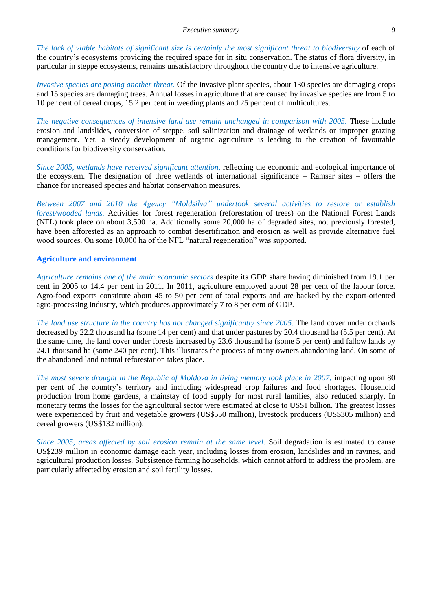*The lack of viable habitats of significant size is certainly the most significant threat to biodiversity* of each of the country's ecosystems providing the required space for in situ conservation. The status of flora diversity, in particular in steppe ecosystems, remains unsatisfactory throughout the country due to intensive agriculture.

*Invasive species are posing another threat.* Of the invasive plant species, about 130 species are damaging crops and 15 species are damaging trees. Annual losses in agriculture that are caused by invasive species are from 5 to 10 per cent of cereal crops, 15.2 per cent in weeding plants and 25 per cent of multicultures.

*The negative consequences of intensive land use remain unchanged in comparison with 2005.* These include erosion and landslides, conversion of steppe, soil salinization and drainage of wetlands or improper grazing management. Yet, a steady development of organic agriculture is leading to the creation of favourable conditions for biodiversity conservation.

*Since 2005, wetlands have received significant attention,* reflecting the economic and ecological importance of the ecosystem. The designation of three wetlands of international significance – Ramsar sites – offers the chance for increased species and habitat conservation measures.

*Between 2007 and 2010 the Agency "Moldsilva" undertook several activities to restore or establish forest/wooded lands.* Activities for forest regeneration (reforestation of trees) on the National Forest Lands (NFL) took place on about 3,500 ha. Additionally some 20,000 ha of degraded sites, not previously forested, have been afforested as an approach to combat desertification and erosion as well as provide alternative fuel wood sources. On some 10,000 ha of the NFL "natural regeneration" was supported.

#### **Agriculture and environment**

*Agriculture remains one of the main economic sectors* despite its GDP share having diminished from 19.1 per cent in 2005 to 14.4 per cent in 2011. In 2011, agriculture employed about 28 per cent of the labour force. Agro-food exports constitute about 45 to 50 per cent of total exports and are backed by the export-oriented agro-processing industry, which produces approximately 7 to 8 per cent of GDP.

*The land use structure in the country has not changed significantly since 2005.* The land cover under orchards decreased by 22.2 thousand ha (some 14 per cent) and that under pastures by 20.4 thousand ha (5.5 per cent). At the same time, the land cover under forests increased by 23.6 thousand ha (some 5 per cent) and fallow lands by 24.1 thousand ha (some 240 per cent). This illustrates the process of many owners abandoning land. On some of the abandoned land natural reforestation takes place.

*The most severe drought in the Republic of Moldova in living memory took place in 2007,* impacting upon 80 per cent of the country's territory and including widespread crop failures and food shortages. Household production from home gardens, a mainstay of food supply for most rural families, also reduced sharply. In monetary terms the losses for the agricultural sector were estimated at close to US\$1 billion. The greatest losses were experienced by fruit and vegetable growers (US\$550 million), livestock producers (US\$305 million) and cereal growers (US\$132 million).

*Since 2005, areas affected by soil erosion remain at the same level.* Soil degradation is estimated to cause US\$239 million in economic damage each year, including losses from erosion, landslides and in ravines, and agricultural production losses. Subsistence farming households, which cannot afford to address the problem, are particularly affected by erosion and soil fertility losses.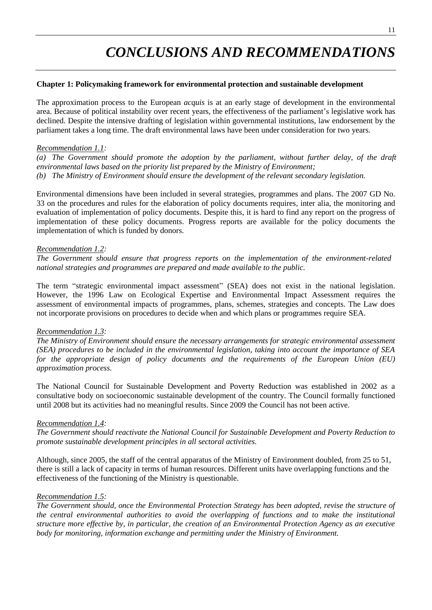# *CONCLUSIONS AND RECOMMENDATIONS*

#### **Chapter 1: Policymaking framework for environmental protection and sustainable development**

The approximation process to the European *acquis* is at an early stage of development in the environmental area. Because of political instability over recent years, the effectiveness of the parliament's legislative work has declined. Despite the intensive drafting of legislation within governmental institutions, law endorsement by the parliament takes a long time. The draft environmental laws have been under consideration for two years.

#### *Recommendation 1.1:*

*(a) The Government should promote the adoption by the parliament, without further delay, of the draft environmental laws based on the priority list prepared by the Ministry of Environment; (b) The Ministry of Environment should ensure the development of the relevant secondary legislation.* 

Environmental dimensions have been included in several strategies, programmes and plans. The 2007 GD No. 33 on the procedures and rules for the elaboration of policy documents requires, inter alia, the monitoring and evaluation of implementation of policy documents. Despite this, it is hard to find any report on the progress of implementation of these policy documents. Progress reports are available for the policy documents the implementation of which is funded by donors.

#### *Recommendation 1.2:*

*The Government should ensure that progress reports on the implementation of the environment-related national strategies and programmes are prepared and made available to the public.* 

The term "strategic environmental impact assessment" (SEA) does not exist in the national legislation. However, the 1996 Law on Ecological Expertise and Environmental Impact Assessment requires the assessment of environmental impacts of programmes, plans, schemes, strategies and concepts. The Law does not incorporate provisions on procedures to decide when and which plans or programmes require SEA.

#### *Recommendation 1.3:*

*The Ministry of Environment should ensure the necessary arrangements for strategic environmental assessment (SEA) procedures to be included in the environmental legislation, taking into account the importance of SEA for the appropriate design of policy documents and the requirements of the European Union (EU) approximation process.*

The National Council for Sustainable Development and Poverty Reduction was established in 2002 as a consultative body on socioeconomic sustainable development of the country. The Council formally functioned until 2008 but its activities had no meaningful results. Since 2009 the Council has not been active.

#### *Recommendation 1.4:*

*The Government should reactivate the National Council for Sustainable Development and Poverty Reduction to promote sustainable development principles in all sectoral activities.*

Although, since 2005, the staff of the central apparatus of the Ministry of Environment doubled, from 25 to 51, there is still a lack of capacity in terms of human resources. Different units have overlapping functions and the effectiveness of the functioning of the Ministry is questionable.

#### *Recommendation 1.5:*

*The Government should, once the Environmental Protection Strategy has been adopted, revise the structure of the central environmental authorities to avoid the overlapping of functions and to make the institutional structure more effective by, in particular, the creation of an Environmental Protection Agency as an executive body for monitoring, information exchange and permitting under the Ministry of Environment.*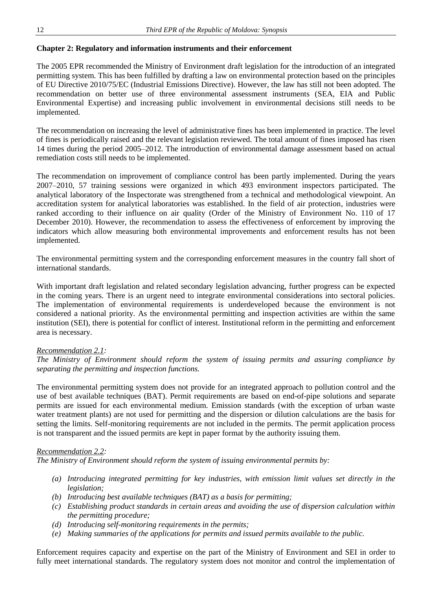#### **Chapter 2: Regulatory and information instruments and their enforcement**

The 2005 EPR recommended the Ministry of Environment draft legislation for the introduction of an integrated permitting system. This has been fulfilled by drafting a law on environmental protection based on the principles of EU Directive 2010/75/EC (Industrial Emissions Directive). However, the law has still not been adopted. The recommendation on better use of three environmental assessment instruments (SEA, EIA and Public Environmental Expertise) and increasing public involvement in environmental decisions still needs to be implemented.

The recommendation on increasing the level of administrative fines has been implemented in practice. The level of fines is periodically raised and the relevant legislation reviewed. The total amount of fines imposed has risen 14 times during the period 2005–2012. The introduction of environmental damage assessment based on actual remediation costs still needs to be implemented.

The recommendation on improvement of compliance control has been partly implemented. During the years 2007–2010, 57 training sessions were organized in which 493 environment inspectors participated. The analytical laboratory of the Inspectorate was strengthened from a technical and methodological viewpoint. An accreditation system for analytical laboratories was established. In the field of air protection, industries were ranked according to their influence on air quality (Order of the Ministry of Environment No. 110 of 17 December 2010). However, the recommendation to assess the effectiveness of enforcement by improving the indicators which allow measuring both environmental improvements and enforcement results has not been implemented.

The environmental permitting system and the corresponding enforcement measures in the country fall short of international standards.

With important draft legislation and related secondary legislation advancing, further progress can be expected in the coming years. There is an urgent need to integrate environmental considerations into sectoral policies. The implementation of environmental requirements is underdeveloped because the environment is not considered a national priority. As the environmental permitting and inspection activities are within the same institution (SEI), there is potential for conflict of interest. Institutional reform in the permitting and enforcement area is necessary.

#### *Recommendation 2.1:*

*The Ministry of Environment should reform the system of issuing permits and assuring compliance by separating the permitting and inspection functions.*

The environmental permitting system does not provide for an integrated approach to pollution control and the use of best available techniques (BAT). Permit requirements are based on end-of-pipe solutions and separate permits are issued for each environmental medium. Emission standards (with the exception of urban waste water treatment plants) are not used for permitting and the dispersion or dilution calculations are the basis for setting the limits. Self-monitoring requirements are not included in the permits. The permit application process is not transparent and the issued permits are kept in paper format by the authority issuing them.

#### *Recommendation 2.2:*

*The Ministry of Environment should reform the system of issuing environmental permits by:*

- *(a) Introducing integrated permitting for key industries, with emission limit values set directly in the legislation;*
- *(b) Introducing best available techniques (BAT) as a basis for permitting;*
- *(c) Establishing product standards in certain areas and avoiding the use of dispersion calculation within the permitting procedure;*
- *(d) Introducing self-monitoring requirements in the permits;*
- *(e) Making summaries of the applications for permits and issued permits available to the public.*

Enforcement requires capacity and expertise on the part of the Ministry of Environment and SEI in order to fully meet international standards. The regulatory system does not monitor and control the implementation of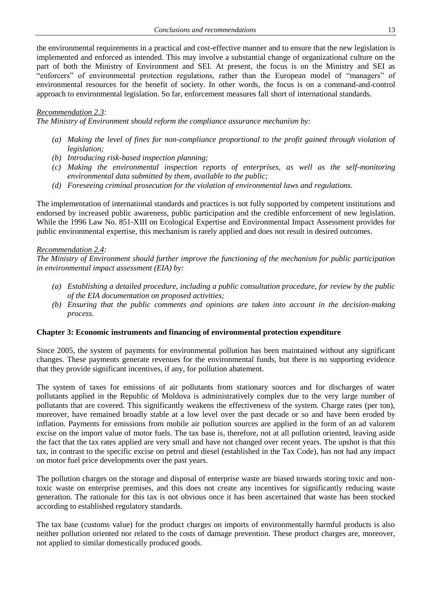the environmental requirements in a practical and cost-effective manner and to ensure that the new legislation is implemented and enforced as intended. This may involve a substantial change of organizational culture on the part of both the Ministry of Environment and SEI. At present, the focus is on the Ministry and SEI as "enforcers" of environmental protection regulations, rather than the European model of "managers" of environmental resources for the benefit of society. In other words, the focus is on a command-and-control approach to environmental legislation. So far, enforcement measures fall short of international standards.

#### *Recommendation 2.3:*

*The Ministry of Environment should reform the compliance assurance mechanism by:*

- *(a) Making the level of fines for non-compliance proportional to the profit gained through violation of legislation;*
- *(b) Introducing risk-based inspection planning;*
- *(c) Making the environmental inspection reports of enterprises, as well as the self-monitoring environmental data submitted by them, available to the public;*
- *(d) Foreseeing criminal prosecution for the violation of environmental laws and regulations.*

The implementation of international standards and practices is not fully supported by competent institutions and endorsed by increased public awareness, public participation and the credible enforcement of new legislation. While the 1996 Law No. 851-XIII on Ecological Expertise and Environmental Impact Assessment provides for public environmental expertise, this mechanism is rarely applied and does not result in desired outcomes.

#### *Recommendation 2.4:*

*The Ministry of Environment should further improve the functioning of the mechanism for public participation in environmental impact assessment (EIA) by:*

- *(a) Establishing a detailed procedure, including a public consultation procedure, for review by the public of the EIA documentation on proposed activities;*
- *(b) Ensuring that the public comments and opinions are taken into account in the decision-making process.*

#### **Chapter 3: Economic instruments and financing of environmental protection expenditure**

Since 2005, the system of payments for environmental pollution has been maintained without any significant changes. These payments generate revenues for the environmental funds, but there is no supporting evidence that they provide significant incentives, if any, for pollution abatement.

The system of taxes for emissions of air pollutants from stationary sources and for discharges of water pollutants applied in the Republic of Moldova is administratively complex due to the very large number of pollutants that are covered. This significantly weakens the effectiveness of the system. Charge rates (per ton), moreover, have remained broadly stable at a low level over the past decade or so and have been eroded by inflation. Payments for emissions from mobile air pollution sources are applied in the form of an ad valorem excise on the import value of motor fuels. The tax base is, therefore, not at all pollution oriented, leaving aside the fact that the tax rates applied are very small and have not changed over recent years. The upshot is that this tax, in contrast to the specific excise on petrol and diesel (established in the Tax Code), has not had any impact on motor fuel price developments over the past years.

The pollution charges on the storage and disposal of enterprise waste are biased towards storing toxic and nontoxic waste on enterprise premises, and this does not create any incentives for significantly reducing waste generation. The rationale for this tax is not obvious once it has been ascertained that waste has been stocked according to established regulatory standards.

The tax base (customs value) for the product charges on imports of environmentally harmful products is also neither pollution oriented nor related to the costs of damage prevention. These product charges are, moreover, not applied to similar domestically produced goods.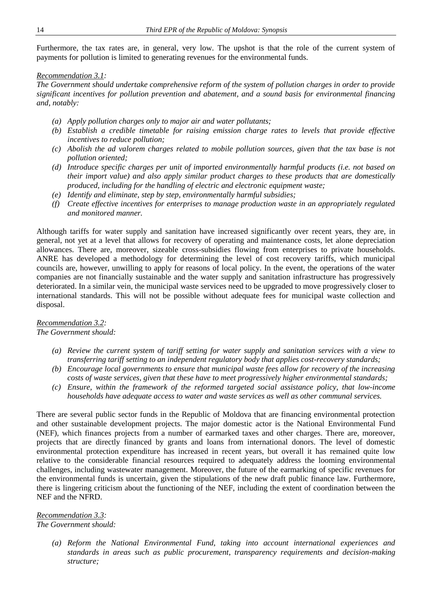Furthermore, the tax rates are, in general, very low. The upshot is that the role of the current system of payments for pollution is limited to generating revenues for the environmental funds.

#### *Recommendation 3.1:*

*The Government should undertake comprehensive reform of the system of pollution charges in order to provide significant incentives for pollution prevention and abatement, and a sound basis for environmental financing and, notably:*

- *(a) Apply pollution charges only to major air and water pollutants;*
- *(b) Establish a credible timetable for raising emission charge rates to levels that provide effective incentives to reduce pollution;*
- *(c) Abolish the ad valorem charges related to mobile pollution sources, given that the tax base is not pollution oriented;*
- *(d) Introduce specific charges per unit of imported environmentally harmful products (i.e. not based on their import value) and also apply similar product charges to these products that are domestically produced, including for the handling of electric and electronic equipment waste;*
- *(e) Identify and eliminate, step by step, environmentally harmful subsidies;*
- *(f) Create effective incentives for enterprises to manage production waste in an appropriately regulated and monitored manner.*

Although tariffs for water supply and sanitation have increased significantly over recent years, they are, in general, not yet at a level that allows for recovery of operating and maintenance costs, let alone depreciation allowances. There are, moreover, sizeable cross-subsidies flowing from enterprises to private households. ANRE has developed a methodology for determining the level of cost recovery tariffs, which municipal councils are, however, unwilling to apply for reasons of local policy. In the event, the operations of the water companies are not financially sustainable and the water supply and sanitation infrastructure has progressively deteriorated. In a similar vein, the municipal waste services need to be upgraded to move progressively closer to international standards. This will not be possible without adequate fees for municipal waste collection and disposal.

#### *Recommendation 3.2: The Government should:*

- *(a) Review the current system of tariff setting for water supply and sanitation services with a view to transferring tariff setting to an independent regulatory body that applies cost-recovery standards;*
- *(b) Encourage local governments to ensure that municipal waste fees allow for recovery of the increasing costs of waste services, given that these have to meet progressively higher environmental standards;*
- *(c) Ensure, within the framework of the reformed targeted social assistance policy, that low-income households have adequate access to water and waste services as well as other communal services.*

There are several public sector funds in the Republic of Moldova that are financing environmental protection and other sustainable development projects. The major domestic actor is the National Environmental Fund (NEF), which finances projects from a number of earmarked taxes and other charges. There are, moreover, projects that are directly financed by grants and loans from international donors. The level of domestic environmental protection expenditure has increased in recent years, but overall it has remained quite low relative to the considerable financial resources required to adequately address the looming environmental challenges, including wastewater management. Moreover, the future of the earmarking of specific revenues for the environmental funds is uncertain, given the stipulations of the new draft public finance law. Furthermore, there is lingering criticism about the functioning of the NEF, including the extent of coordination between the NEF and the NFRD.

#### *Recommendation 3.3: The Government should:*

*(a) Reform the National Environmental Fund, taking into account international experiences and standards in areas such as public procurement, transparency requirements and decision-making structure;*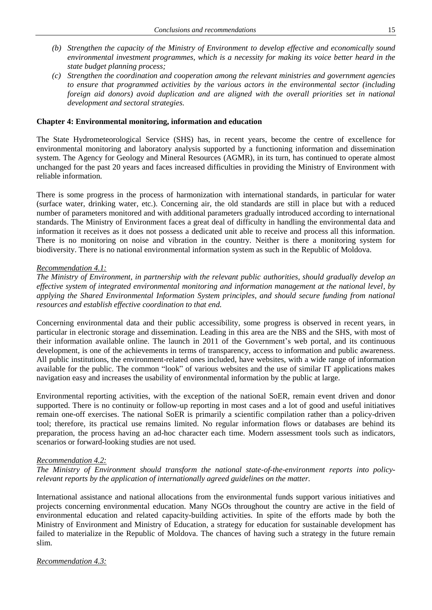- *(b) Strengthen the capacity of the Ministry of Environment to develop effective and economically sound environmental investment programmes, which is a necessity for making its voice better heard in the state budget planning process;*
- *(c) Strengthen the coordination and cooperation among the relevant ministries and government agencies to ensure that programmed activities by the various actors in the environmental sector (including foreign aid donors) avoid duplication and are aligned with the overall priorities set in national development and sectoral strategies.*

#### **Chapter 4: Environmental monitoring, information and education**

The State Hydrometeorological Service (SHS) has, in recent years, become the centre of excellence for environmental monitoring and laboratory analysis supported by a functioning information and dissemination system. The Agency for Geology and Mineral Resources (AGMR), in its turn, has continued to operate almost unchanged for the past 20 years and faces increased difficulties in providing the Ministry of Environment with reliable information.

There is some progress in the process of harmonization with international standards, in particular for water (surface water, drinking water, etc.). Concerning air, the old standards are still in place but with a reduced number of parameters monitored and with additional parameters gradually introduced according to international standards. The Ministry of Environment faces a great deal of difficulty in handling the environmental data and information it receives as it does not possess a dedicated unit able to receive and process all this information. There is no monitoring on noise and vibration in the country. Neither is there a monitoring system for biodiversity. There is no national environmental information system as such in the Republic of Moldova.

#### *Recommendation 4.1:*

*The Ministry of Environment, in partnership with the relevant public authorities, should gradually develop an effective system of integrated environmental monitoring and information management at the national level, by applying the Shared Environmental Information System principles, and should secure funding from national resources and establish effective coordination to that end.* 

Concerning environmental data and their public accessibility, some progress is observed in recent years, in particular in electronic storage and dissemination. Leading in this area are the NBS and the SHS, with most of their information available online. The launch in 2011 of the Government's web portal, and its continuous development, is one of the achievements in terms of transparency, access to information and public awareness. All public institutions, the environment-related ones included, have websites, with a wide range of information available for the public. The common "look" of various websites and the use of similar IT applications makes navigation easy and increases the usability of environmental information by the public at large.

Environmental reporting activities, with the exception of the national SoER, remain event driven and donor supported. There is no continuity or follow-up reporting in most cases and a lot of good and useful initiatives remain one-off exercises. The national SoER is primarily a scientific compilation rather than a policy-driven tool; therefore, its practical use remains limited. No regular information flows or databases are behind its preparation, the process having an ad-hoc character each time. Modern assessment tools such as indicators, scenarios or forward-looking studies are not used.

#### *Recommendation 4.2:*

*The Ministry of Environment should transform the national state-of-the-environment reports into policyrelevant reports by the application of internationally agreed guidelines on the matter.*

International assistance and national allocations from the environmental funds support various initiatives and projects concerning environmental education. Many NGOs throughout the country are active in the field of environmental education and related capacity-building activities. In spite of the efforts made by both the Ministry of Environment and Ministry of Education, a strategy for education for sustainable development has failed to materialize in the Republic of Moldova. The chances of having such a strategy in the future remain slim.

*Recommendation 4.3:*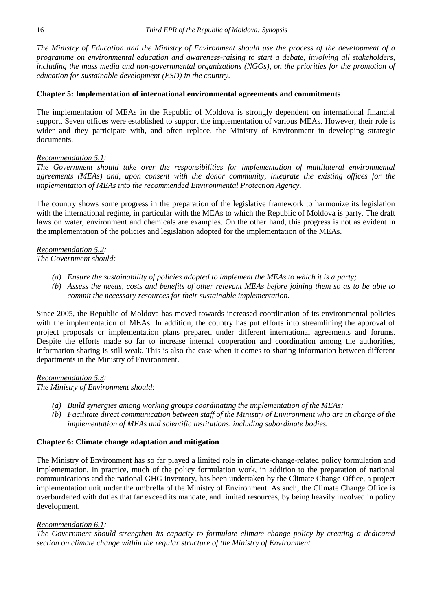*The Ministry of Education and the Ministry of Environment should use the process of the development of a programme on environmental education and awareness-raising to start a debate, involving all stakeholders, including the mass media and non-governmental organizations (NGOs), on the priorities for the promotion of education for sustainable development (ESD) in the country.*

#### **Chapter 5: Implementation of international environmental agreements and commitments**

The implementation of MEAs in the Republic of Moldova is strongly dependent on international financial support. Seven offices were established to support the implementation of various MEAs. However, their role is wider and they participate with, and often replace, the Ministry of Environment in developing strategic documents.

#### *Recommendation 5.1:*

*The Government should take over the responsibilities for implementation of multilateral environmental agreements (MEAs) and, upon consent with the donor community, integrate the existing offices for the implementation of MEAs into the recommended Environmental Protection Agency.*

The country shows some progress in the preparation of the legislative framework to harmonize its legislation with the international regime, in particular with the MEAs to which the Republic of Moldova is party. The draft laws on water, environment and chemicals are examples. On the other hand, this progress is not as evident in the implementation of the policies and legislation adopted for the implementation of the MEAs.

*Recommendation 5.2: The Government should:*

- *(a) Ensure the sustainability of policies adopted to implement the MEAs to which it is a party;*
- *(b) Assess the needs, costs and benefits of other relevant MEAs before joining them so as to be able to commit the necessary resources for their sustainable implementation.*

Since 2005, the Republic of Moldova has moved towards increased coordination of its environmental policies with the implementation of MEAs. In addition, the country has put efforts into streamlining the approval of project proposals or implementation plans prepared under different international agreements and forums. Despite the efforts made so far to increase internal cooperation and coordination among the authorities, information sharing is still weak. This is also the case when it comes to sharing information between different departments in the Ministry of Environment.

*Recommendation 5.3:*

*The Ministry of Environment should:*

- *(a) Build synergies among working groups coordinating the implementation of the MEAs;*
- *(b) Facilitate direct communication between staff of the Ministry of Environment who are in charge of the implementation of MEAs and scientific institutions, including subordinate bodies.*

### **Chapter 6: Climate change adaptation and mitigation**

The Ministry of Environment has so far played a limited role in climate-change-related policy formulation and implementation. In practice, much of the policy formulation work, in addition to the preparation of national communications and the national GHG inventory, has been undertaken by the Climate Change Office, a project implementation unit under the umbrella of the Ministry of Environment. As such, the Climate Change Office is overburdened with duties that far exceed its mandate, and limited resources, by being heavily involved in policy development.

#### *Recommendation 6.1:*

*The Government should strengthen its capacity to formulate climate change policy by creating a dedicated section on climate change within the regular structure of the Ministry of Environment.*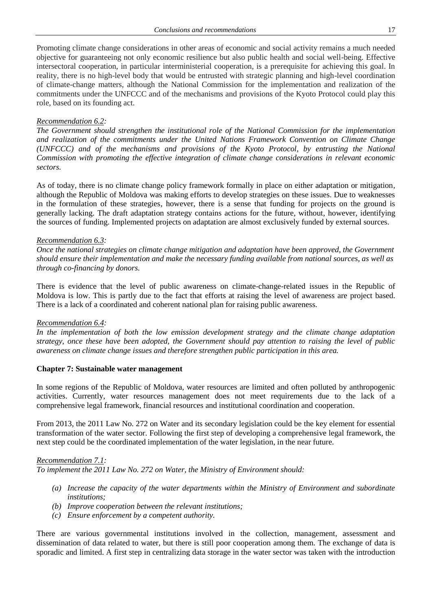Promoting climate change considerations in other areas of economic and social activity remains a much needed objective for guaranteeing not only economic resilience but also public health and social well-being. Effective intersectoral cooperation, in particular interministerial cooperation, is a prerequisite for achieving this goal. In reality, there is no high-level body that would be entrusted with strategic planning and high-level coordination of climate-change matters, although the National Commission for the implementation and realization of the commitments under the UNFCCC and of the mechanisms and provisions of the Kyoto Protocol could play this role, based on its founding act.

#### *Recommendation 6.2:*

*The Government should strengthen the institutional role of the National Commission for the implementation and realization of the commitments under the United Nations Framework Convention on Climate Change (UNFCCC) and of the mechanisms and provisions of the Kyoto Protocol, by entrusting the National Commission with promoting the effective integration of climate change considerations in relevant economic sectors.*

As of today, there is no climate change policy framework formally in place on either adaptation or mitigation, although the Republic of Moldova was making efforts to develop strategies on these issues. Due to weaknesses in the formulation of these strategies, however, there is a sense that funding for projects on the ground is generally lacking. The draft adaptation strategy contains actions for the future, without, however, identifying the sources of funding. Implemented projects on adaptation are almost exclusively funded by external sources.

#### *Recommendation 6.3:*

*Once the national strategies on climate change mitigation and adaptation have been approved, the Government should ensure their implementation and make the necessary funding available from national sources, as well as through co-financing by donors.*

There is evidence that the level of public awareness on climate-change-related issues in the Republic of Moldova is low. This is partly due to the fact that efforts at raising the level of awareness are project based. There is a lack of a coordinated and coherent national plan for raising public awareness.

#### *Recommendation 6.4:*

*In the implementation of both the low emission development strategy and the climate change adaptation strategy, once these have been adopted, the Government should pay attention to raising the level of public awareness on climate change issues and therefore strengthen public participation in this area.*

#### **Chapter 7: Sustainable water management**

In some regions of the Republic of Moldova, water resources are limited and often polluted by anthropogenic activities. Currently, water resources management does not meet requirements due to the lack of a comprehensive legal framework, financial resources and institutional coordination and cooperation.

From 2013, the 2011 Law No. 272 on Water and its secondary legislation could be the key element for essential transformation of the water sector. Following the first step of developing a comprehensive legal framework, the next step could be the coordinated implementation of the water legislation, in the near future.

#### *Recommendation 7.1:*

*To implement the 2011 Law No. 272 on Water, the Ministry of Environment should:*

- *(a) Increase the capacity of the water departments within the Ministry of Environment and subordinate institutions;*
- *(b) Improve cooperation between the relevant institutions;*
- *(c) Ensure enforcement by a competent authority.*

There are various governmental institutions involved in the collection, management, assessment and dissemination of data related to water, but there is still poor cooperation among them. The exchange of data is sporadic and limited. A first step in centralizing data storage in the water sector was taken with the introduction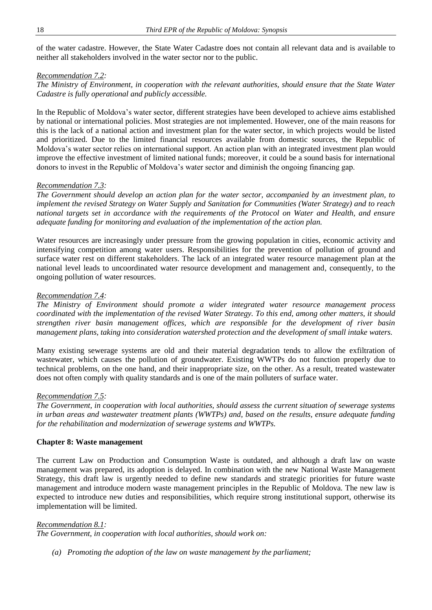of the water cadastre. However, the State Water Cadastre does not contain all relevant data and is available to neither all stakeholders involved in the water sector nor to the public.

#### *Recommendation 7.2:*

*The Ministry of Environment, in cooperation with the relevant authorities, should ensure that the State Water Cadastre is fully operational and publicly accessible.* 

In the Republic of Moldova's water sector, different strategies have been developed to achieve aims established by national or international policies. Most strategies are not implemented. However, one of the main reasons for this is the lack of a national action and investment plan for the water sector, in which projects would be listed and prioritized. Due to the limited financial resources available from domestic sources, the Republic of Moldova's water sector relies on international support. An action plan with an integrated investment plan would improve the effective investment of limited national funds; moreover, it could be a sound basis for international donors to invest in the Republic of Moldova's water sector and diminish the ongoing financing gap.

#### *Recommendation 7.3:*

*The Government should develop an action plan for the water sector, accompanied by an investment plan, to implement the revised Strategy on Water Supply and Sanitation for Communities (Water Strategy) and to reach national targets set in accordance with the requirements of the Protocol on Water and Health, and ensure adequate funding for monitoring and evaluation of the implementation of the action plan.*

Water resources are increasingly under pressure from the growing population in cities, economic activity and intensifying competition among water users. Responsibilities for the prevention of pollution of ground and surface water rest on different stakeholders. The lack of an integrated water resource management plan at the national level leads to uncoordinated water resource development and management and, consequently, to the ongoing pollution of water resources.

#### *Recommendation 7.4:*

*The Ministry of Environment should promote a wider integrated water resource management process coordinated with the implementation of the revised Water Strategy. To this end, among other matters, it should strengthen river basin management offices, which are responsible for the development of river basin management plans, taking into consideration watershed protection and the development of small intake waters.* 

Many existing sewerage systems are old and their material degradation tends to allow the exfiltration of wastewater, which causes the pollution of groundwater. Existing WWTPs do not function properly due to technical problems, on the one hand, and their inappropriate size, on the other. As a result, treated wastewater does not often comply with quality standards and is one of the main polluters of surface water.

#### *Recommendation 7.5:*

*The Government, in cooperation with local authorities, should assess the current situation of sewerage systems in urban areas and wastewater treatment plants (WWTPs) and, based on the results, ensure adequate funding for the rehabilitation and modernization of sewerage systems and WWTPs.*

#### **Chapter 8: Waste management**

The current Law on Production and Consumption Waste is outdated, and although a draft law on waste management was prepared, its adoption is delayed. In combination with the new National Waste Management Strategy, this draft law is urgently needed to define new standards and strategic priorities for future waste management and introduce modern waste management principles in the Republic of Moldova. The new law is expected to introduce new duties and responsibilities, which require strong institutional support, otherwise its implementation will be limited.

#### *Recommendation 8.1:*

*The Government, in cooperation with local authorities, should work on:*

*(a) Promoting the adoption of the law on waste management by the parliament;*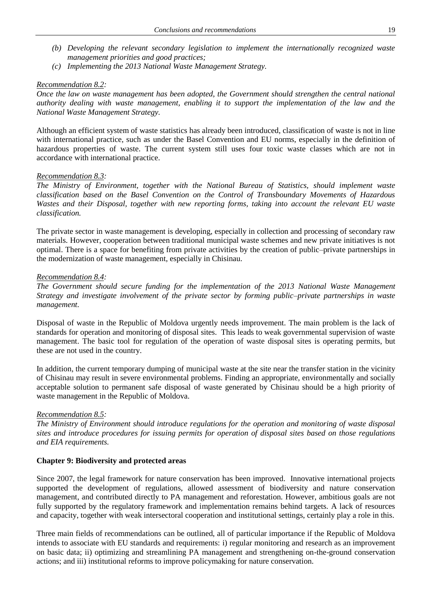- *(b) Developing the relevant secondary legislation to implement the internationally recognized waste management priorities and good practices;*
- *(c) Implementing the 2013 National Waste Management Strategy.*

#### *Recommendation 8.2:*

*Once the law on waste management has been adopted, the Government should strengthen the central national authority dealing with waste management, enabling it to support the implementation of the law and the National Waste Management Strategy.*

Although an efficient system of waste statistics has already been introduced, classification of waste is not in line with international practice, such as under the Basel Convention and EU norms, especially in the definition of hazardous properties of waste. The current system still uses four toxic waste classes which are not in accordance with international practice.

#### *Recommendation 8.3:*

*The Ministry of Environment, together with the National Bureau of Statistics, should implement waste classification based on the Basel Convention on the Control of Transboundary Movements of Hazardous Wastes and their Disposal, together with new reporting forms, taking into account the relevant EU waste classification.*

The private sector in waste management is developing, especially in collection and processing of secondary raw materials. However, cooperation between traditional municipal waste schemes and new private initiatives is not optimal. There is a space for benefiting from private activities by the creation of public–private partnerships in the modernization of waste management, especially in Chisinau.

#### *Recommendation 8.4:*

*The Government should secure funding for the implementation of the 2013 National Waste Management Strategy and investigate involvement of the private sector by forming public–private partnerships in waste management.*

Disposal of waste in the Republic of Moldova urgently needs improvement. The main problem is the lack of standards for operation and monitoring of disposal sites. This leads to weak governmental supervision of waste management. The basic tool for regulation of the operation of waste disposal sites is operating permits, but these are not used in the country.

In addition, the current temporary dumping of municipal waste at the site near the transfer station in the vicinity of Chisinau may result in severe environmental problems. Finding an appropriate, environmentally and socially acceptable solution to permanent safe disposal of waste generated by Chisinau should be a high priority of waste management in the Republic of Moldova.

#### *Recommendation 8.5:*

*The Ministry of Environment should introduce regulations for the operation and monitoring of waste disposal sites and introduce procedures for issuing permits for operation of disposal sites based on those regulations and EIA requirements.*

#### **Chapter 9: Biodiversity and protected areas**

Since 2007, the legal framework for nature conservation has been improved. Innovative international projects supported the development of regulations, allowed assessment of biodiversity and nature conservation management, and contributed directly to PA management and reforestation. However, ambitious goals are not fully supported by the regulatory framework and implementation remains behind targets. A lack of resources and capacity, together with weak intersectoral cooperation and institutional settings, certainly play a role in this.

Three main fields of recommendations can be outlined, all of particular importance if the Republic of Moldova intends to associate with EU standards and requirements: i) regular monitoring and research as an improvement on basic data; ii) optimizing and streamlining PA management and strengthening on-the-ground conservation actions; and iii) institutional reforms to improve policymaking for nature conservation.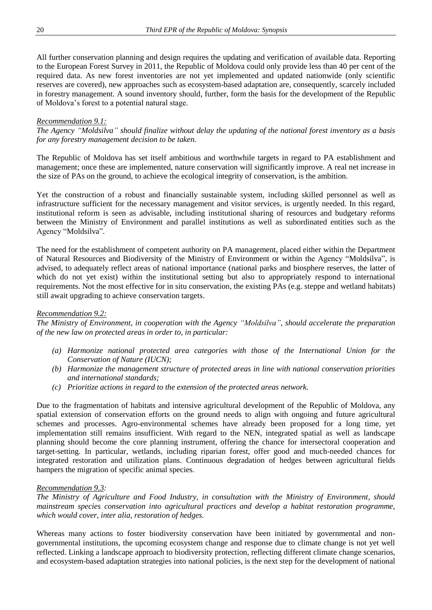All further conservation planning and design requires the updating and verification of available data. Reporting to the European Forest Survey in 2011, the Republic of Moldova could only provide less than 40 per cent of the required data. As new forest inventories are not yet implemented and updated nationwide (only scientific reserves are covered), new approaches such as ecosystem-based adaptation are, consequently, scarcely included in forestry management. A sound inventory should, further, form the basis for the development of the Republic of Moldova's forest to a potential natural stage.

#### *Recommendation 9.1:*

*The Agency "Moldsilva" should finalize without delay the updating of the national forest inventory as a basis for any forestry management decision to be taken.*

The Republic of Moldova has set itself ambitious and worthwhile targets in regard to PA establishment and management; once these are implemented, nature conservation will significantly improve. A real net increase in the size of PAs on the ground, to achieve the ecological integrity of conservation, is the ambition.

Yet the construction of a robust and financially sustainable system, including skilled personnel as well as infrastructure sufficient for the necessary management and visitor services, is urgently needed. In this regard, institutional reform is seen as advisable, including institutional sharing of resources and budgetary reforms between the Ministry of Environment and parallel institutions as well as subordinated entities such as the Agency "Moldsilva".

The need for the establishment of competent authority on PA management, placed either within the Department of Natural Resources and Biodiversity of the Ministry of Environment or within the Agency "Moldsilva", is advised, to adequately reflect areas of national importance (national parks and biosphere reserves, the latter of which do not yet exist) within the institutional setting but also to appropriately respond to international requirements. Not the most effective for in situ conservation, the existing PAs (e.g. steppe and wetland habitats) still await upgrading to achieve conservation targets.

#### *Recommendation 9.2:*

*The Ministry of Environment, in cooperation with the Agency "Moldsilva", should accelerate the preparation of the new law on protected areas in order to, in particular:*

- *(a) Harmonize national protected area categories with those of the International Union for the Conservation of Nature (IUCN);*
- *(b) Harmonize the management structure of protected areas in line with national conservation priorities and international standards;*
- *(c) Prioritize actions in regard to the extension of the protected areas network.*

Due to the fragmentation of habitats and intensive agricultural development of the Republic of Moldova, any spatial extension of conservation efforts on the ground needs to align with ongoing and future agricultural schemes and processes. Agro-environmental schemes have already been proposed for a long time, yet implementation still remains insufficient. With regard to the NEN, integrated spatial as well as landscape planning should become the core planning instrument, offering the chance for intersectoral cooperation and target-setting. In particular, wetlands, including riparian forest, offer good and much-needed chances for integrated restoration and utilization plans. Continuous degradation of hedges between agricultural fields hampers the migration of specific animal species.

#### *Recommendation 9.3:*

*The Ministry of Agriculture and Food Industry, in consultation with the Ministry of Environment, should mainstream species conservation into agricultural practices and develop a habitat restoration programme, which would cover, inter alia, restoration of hedges.*

Whereas many actions to foster biodiversity conservation have been initiated by governmental and nongovernmental institutions, the upcoming ecosystem change and response due to climate change is not yet well reflected. Linking a landscape approach to biodiversity protection, reflecting different climate change scenarios, and ecosystem-based adaptation strategies into national policies, is the next step for the development of national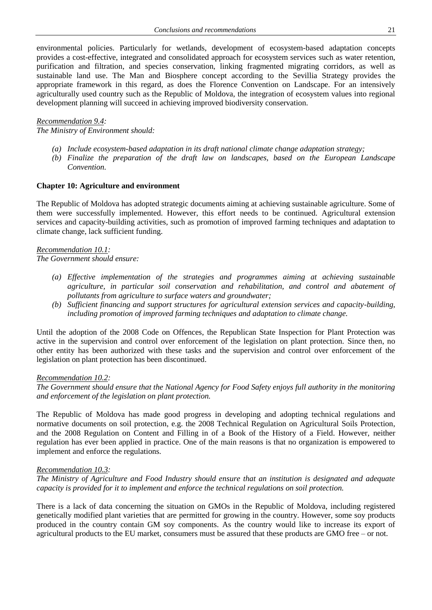environmental policies. Particularly for wetlands, development of ecosystem-based adaptation concepts provides a cost-effective, integrated and consolidated approach for ecosystem services such as water retention, purification and filtration, and species conservation, linking fragmented migrating corridors, as well as sustainable land use. The Man and Biosphere concept according to the Sevillia Strategy provides the appropriate framework in this regard, as does the Florence Convention on Landscape. For an intensively agriculturally used country such as the Republic of Moldova, the integration of ecosystem values into regional development planning will succeed in achieving improved biodiversity conservation.

#### *Recommendation 9.4:*

*The Ministry of Environment should:* 

- *(a) Include ecosystem-based adaptation in its draft national climate change adaptation strategy;*
- *(b) Finalize the preparation of the draft law on landscapes, based on the European Landscape Convention.*

#### **Chapter 10: Agriculture and environment**

The Republic of Moldova has adopted strategic documents aiming at achieving sustainable agriculture. Some of them were successfully implemented. However, this effort needs to be continued. Agricultural extension services and capacity-building activities, such as promotion of improved farming techniques and adaptation to climate change, lack sufficient funding.

#### *Recommendation 10.1: The Government should ensure:*

- *(a) Effective implementation of the strategies and programmes aiming at achieving sustainable agriculture, in particular soil conservation and rehabilitation, and control and abatement of pollutants from agriculture to surface waters and groundwater;*
- *(b) Sufficient financing and support structures for agricultural extension services and capacity-building, including promotion of improved farming techniques and adaptation to climate change.*

Until the adoption of the 2008 Code on Offences, the Republican State Inspection for Plant Protection was active in the supervision and control over enforcement of the legislation on plant protection. Since then, no other entity has been authorized with these tasks and the supervision and control over enforcement of the legislation on plant protection has been discontinued.

#### *Recommendation 10.2:*

*The Government should ensure that the National Agency for Food Safety enjoys full authority in the monitoring and enforcement of the legislation on plant protection.* 

The Republic of Moldova has made good progress in developing and adopting technical regulations and normative documents on soil protection, e.g. the 2008 Technical Regulation on Agricultural Soils Protection, and the 2008 Regulation on Content and Filling in of a Book of the History of a Field. However, neither regulation has ever been applied in practice. One of the main reasons is that no organization is empowered to implement and enforce the regulations.

#### *Recommendation 10.3:*

*The Ministry of Agriculture and Food Industry should ensure that an institution is designated and adequate capacity is provided for it to implement and enforce the technical regulations on soil protection.* 

There is a lack of data concerning the situation on GMOs in the Republic of Moldova, including registered genetically modified plant varieties that are permitted for growing in the country. However, some soy products produced in the country contain GM soy components. As the country would like to increase its export of agricultural products to the EU market, consumers must be assured that these products are GMO free – or not.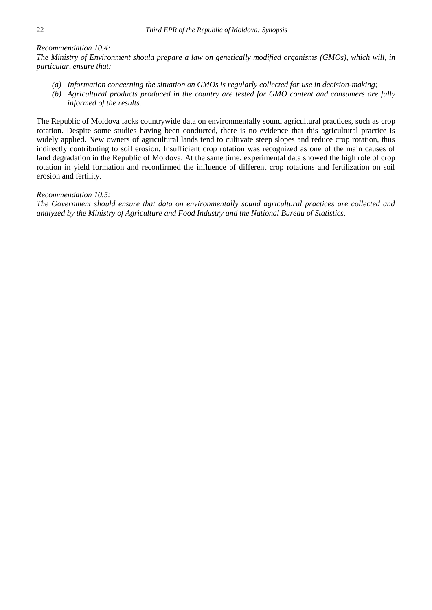#### *Recommendation 10.4:*

*The Ministry of Environment should prepare a law on genetically modified organisms (GMOs), which will, in particular, ensure that:*

- *(a) Information concerning the situation on GMOs is regularly collected for use in decision-making;*
- *(b) Agricultural products produced in the country are tested for GMO content and consumers are fully informed of the results.*

The Republic of Moldova lacks countrywide data on environmentally sound agricultural practices, such as crop rotation. Despite some studies having been conducted, there is no evidence that this agricultural practice is widely applied. New owners of agricultural lands tend to cultivate steep slopes and reduce crop rotation, thus indirectly contributing to soil erosion. Insufficient crop rotation was recognized as one of the main causes of land degradation in the Republic of Moldova. At the same time, experimental data showed the high role of crop rotation in yield formation and reconfirmed the influence of different crop rotations and fertilization on soil erosion and fertility.

#### *Recommendation 10.5:*

*The Government should ensure that data on environmentally sound agricultural practices are collected and analyzed by the Ministry of Agriculture and Food Industry and the National Bureau of Statistics.*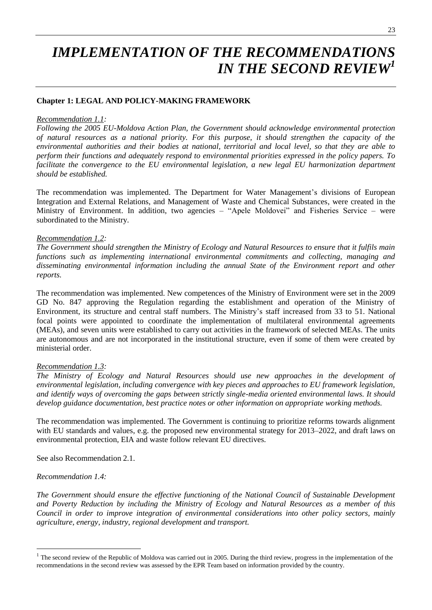# *IMPLEMENTATION OF THE RECOMMENDATIONS IN THE SECOND REVIEW<sup>1</sup>*

#### **Chapter 1: LEGAL AND POLICY-MAKING FRAMEWORK**

#### *Recommendation 1.1:*

*Following the 2005 EU-Moldova Action Plan, the Government should acknowledge environmental protection of natural resources as a national priority. For this purpose, it should strengthen the capacity of the environmental authorities and their bodies at national, territorial and local level, so that they are able to perform their functions and adequately respond to environmental priorities expressed in the policy papers. To facilitate the convergence to the EU environmental legislation, a new legal EU harmonization department should be established.*

The recommendation was implemented. The Department for Water Management's divisions of European Integration and External Relations, and Management of Waste and Chemical Substances, were created in the Ministry of Environment. In addition, two agencies – "Apele Moldovei" and Fisheries Service – were subordinated to the Ministry.

#### *Recommendation 1.2:*

*The Government should strengthen the Ministry of Ecology and Natural Resources to ensure that it fulfils main functions such as implementing international environmental commitments and collecting, managing and disseminating environmental information including the annual State of the Environment report and other reports.*

The recommendation was implemented. New competences of the Ministry of Environment were set in the 2009 GD No. 847 approving the Regulation regarding the establishment and operation of the Ministry of Environment, its structure and central staff numbers. The Ministry's staff increased from 33 to 51. National focal points were appointed to coordinate the implementation of multilateral environmental agreements (MEAs), and seven units were established to carry out activities in the framework of selected MEAs. The units are autonomous and are not incorporated in the institutional structure, even if some of them were created by ministerial order.

#### *Recommendation 1.3:*

*The Ministry of Ecology and Natural Resources should use new approaches in the development of environmental legislation, including convergence with key pieces and approaches to EU framework legislation, and identify ways of overcoming the gaps between strictly single-media oriented environmental laws. It should develop guidance documentation, best practice notes or other information on appropriate working methods.*

The recommendation was implemented. The Government is continuing to prioritize reforms towards alignment with EU standards and values, e.g. the proposed new environmental strategy for 2013–2022, and draft laws on environmental protection, EIA and waste follow relevant EU directives.

See also Recommendation 2.1.

#### *Recommendation 1.4:*

 $\overline{a}$ 

*The Government should ensure the effective functioning of the National Council of Sustainable Development and Poverty Reduction by including the Ministry of Ecology and Natural Resources as a member of this Council in order to improve integration of environmental considerations into other policy sectors, mainly agriculture, energy, industry, regional development and transport.*

 $<sup>1</sup>$  The second review of the Republic of Moldova was carried out in 2005. During the third review, progress in the implementation of the</sup> recommendations in the second review was assessed by the EPR Team based on information provided by the country.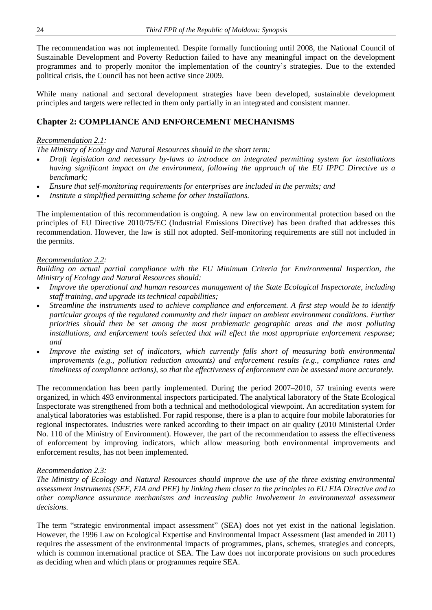The recommendation was not implemented. Despite formally functioning until 2008, the National Council of Sustainable Development and Poverty Reduction failed to have any meaningful impact on the development programmes and to properly monitor the implementation of the country's strategies. Due to the extended political crisis, the Council has not been active since 2009.

While many national and sectoral development strategies have been developed, sustainable development principles and targets were reflected in them only partially in an integrated and consistent manner.

## **Chapter 2: COMPLIANCE AND ENFORCEMENT MECHANISMS**

#### *Recommendation 2.1:*

*The Ministry of Ecology and Natural Resources should in the short term:*

- *Draft legislation and necessary by-laws to introduce an integrated permitting system for installations having significant impact on the environment, following the approach of the EU IPPC Directive as a benchmark;*
- *Ensure that self-monitoring requirements for enterprises are included in the permits; and*
- *Institute a simplified permitting scheme for other installations.*

The implementation of this recommendation is ongoing. A new law on environmental protection based on the principles of EU Directive 2010/75/EC (Industrial Emissions Directive) has been drafted that addresses this recommendation. However, the law is still not adopted. Self-monitoring requirements are still not included in the permits.

#### *Recommendation 2.2:*

*Building on actual partial compliance with the EU Minimum Criteria for Environmental Inspection, the Ministry of Ecology and Natural Resources should:*

- *Improve the operational and human resources management of the State Ecological Inspectorate, including staff training, and upgrade its technical capabilities;*
- *Streamline the instruments used to achieve compliance and enforcement. A first step would be to identify particular groups of the regulated community and their impact on ambient environment conditions. Further priorities should then be set among the most problematic geographic areas and the most polluting installations, and enforcement tools selected that will effect the most appropriate enforcement response; and*
- *Improve the existing set of indicators, which currently falls short of measuring both environmental improvements (e.g., pollution reduction amounts) and enforcement results (e.g., compliance rates and timeliness of compliance actions), so that the effectiveness of enforcement can be assessed more accurately.*

The recommendation has been partly implemented. During the period 2007–2010, 57 training events were organized, in which 493 environmental inspectors participated. The analytical laboratory of the State Ecological Inspectorate was strengthened from both a technical and methodological viewpoint. An accreditation system for analytical laboratories was established. For rapid response, there is a plan to acquire four mobile laboratories for regional inspectorates. Industries were ranked according to their impact on air quality (2010 Ministerial Order No. 110 of the Ministry of Environment). However, the part of the recommendation to assess the effectiveness of enforcement by improving indicators, which allow measuring both environmental improvements and enforcement results, has not been implemented.

#### *Recommendation 2.3:*

*The Ministry of Ecology and Natural Resources should improve the use of the three existing environmental assessment instruments (SEE, EIA and PEE) by linking them closer to the principles to EU EIA Directive and to other compliance assurance mechanisms and increasing public involvement in environmental assessment decisions.*

The term "strategic environmental impact assessment" (SEA) does not yet exist in the national legislation. However, the 1996 Law on Ecological Expertise and Environmental Impact Assessment (last amended in 2011) requires the assessment of the environmental impacts of programmes, plans, schemes, strategies and concepts, which is common international practice of SEA. The Law does not incorporate provisions on such procedures as deciding when and which plans or programmes require SEA.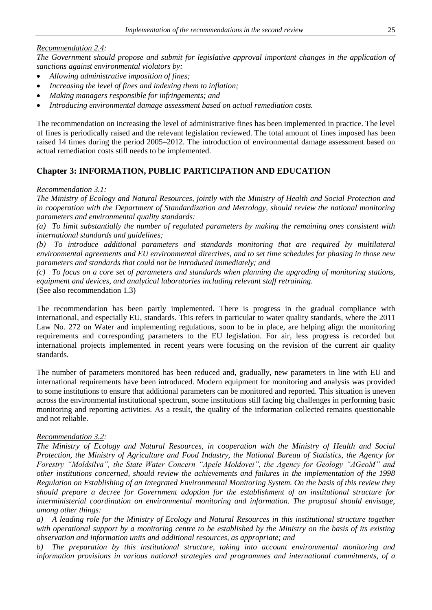#### *Recommendation 2.4:*

*The Government should propose and submit for legislative approval important changes in the application of sanctions against environmental violators by:*

- *Allowing administrative imposition of fines;*
- *Increasing the level of fines and indexing them to inflation;*
- *Making managers responsible for infringements; and*
- *Introducing environmental damage assessment based on actual remediation costs.*

The recommendation on increasing the level of administrative fines has been implemented in practice. The level of fines is periodically raised and the relevant legislation reviewed. The total amount of fines imposed has been raised 14 times during the period 2005–2012. The introduction of environmental damage assessment based on actual remediation costs still needs to be implemented.

## **Chapter 3: INFORMATION, PUBLIC PARTICIPATION AND EDUCATION**

#### *Recommendation 3.1:*

*The Ministry of Ecology and Natural Resources, jointly with the Ministry of Health and Social Protection and in cooperation with the Department of Standardization and Metrology, should review the national monitoring parameters and environmental quality standards:*

*(a) To limit substantially the number of regulated parameters by making the remaining ones consistent with international standards and guidelines;*

*(b) To introduce additional parameters and standards monitoring that are required by multilateral environmental agreements and EU environmental directives, and to set time schedules for phasing in those new parameters and standards that could not be introduced immediately; and*

*(c) To focus on a core set of parameters and standards when planning the upgrading of monitoring stations, equipment and devices, and analytical laboratories including relevant staff retraining.* (See also recommendation 1.3)

The recommendation has been partly implemented. There is progress in the gradual compliance with international, and especially EU, standards. This refers in particular to water quality standards, where the 2011 Law No. 272 on Water and implementing regulations, soon to be in place, are helping align the monitoring requirements and corresponding parameters to the EU legislation. For air, less progress is recorded but international projects implemented in recent years were focusing on the revision of the current air quality standards.

The number of parameters monitored has been reduced and, gradually, new parameters in line with EU and international requirements have been introduced. Modern equipment for monitoring and analysis was provided to some institutions to ensure that additional parameters can be monitored and reported. This situation is uneven across the environmental institutional spectrum, some institutions still facing big challenges in performing basic monitoring and reporting activities. As a result, the quality of the information collected remains questionable and not reliable.

#### *Recommendation 3.2:*

*The Ministry of Ecology and Natural Resources, in cooperation with the Ministry of Health and Social Protection, the Ministry of Agriculture and Food Industry, the National Bureau of Statistics, the Agency for Forestry "Moldsilva", the State Water Concern "Apele Moldovei", the Agency for Geology "AGeoM" and other institutions concerned, should review the achievements and failures in the implementation of the 1998 Regulation on Establishing of an Integrated Environmental Monitoring System. On the basis of this review they should prepare a decree for Government adoption for the establishment of an institutional structure for interministerial coordination on environmental monitoring and information. The proposal should envisage, among other things:*

*a) A leading role for the Ministry of Ecology and Natural Resources in this institutional structure together with operational support by a monitoring centre to be established by the Ministry on the basis of its existing observation and information units and additional resources, as appropriate; and*

*b) The preparation by this institutional structure, taking into account environmental monitoring and information provisions in various national strategies and programmes and international commitments, of a*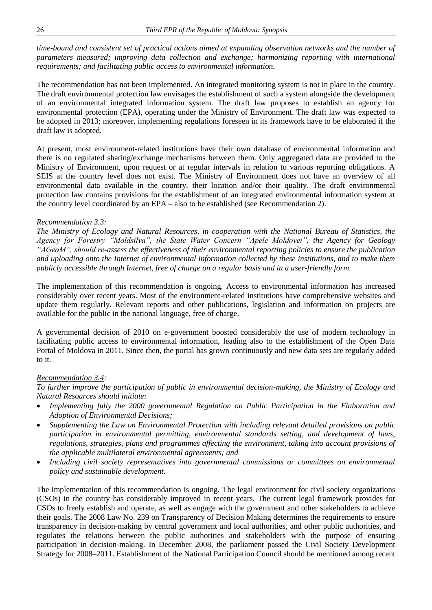*time-bound and consistent set of practical actions aimed at expanding observation networks and the number of parameters measured; improving data collection and exchange; harmonizing reporting with international requirements; and facilitating public access to environmental information.* 

The recommendation has not been implemented. An integrated monitoring system is not in place in the country. The draft environmental protection law envisages the establishment of such a system alongside the development of an environmental integrated information system. The draft law proposes to establish an agency for environmental protection (EPA), operating under the Ministry of Environment. The draft law was expected to be adopted in 2013; moreover, implementing regulations foreseen in its framework have to be elaborated if the draft law is adopted.

At present, most environment-related institutions have their own database of environmental information and there is no regulated sharing/exchange mechanisms between them. Only aggregated data are provided to the Ministry of Environment, upon request or at regular intervals in relation to various reporting obligations. A SEIS at the country level does not exist. The Ministry of Environment does not have an overview of all environmental data available in the country, their location and/or their quality. The draft environmental protection law contains provisions for the establishment of an integrated environmental information system at the country level coordinated by an EPA – also to be established (see Recommendation 2).

#### *Recommendation 3.3:*

*The Ministry of Ecology and Natural Resources, in cooperation with the National Bureau of Statistics, the Agency for Forestry "Moldsilva", the State Water Concern "Apele Moldovei", the Agency for Geology "AGeoM", should re-assess the effectiveness of their environmental reporting policies to ensure the publication and uploading onto the Internet of environmental information collected by these institutions, and to make them publicly accessible through Internet, free of charge on a regular basis and in a user-friendly form.*

The implementation of this recommendation is ongoing. Access to environmental information has increased considerably over recent years. Most of the environment-related institutions have comprehensive websites and update them regularly. Relevant reports and other publications, legislation and information on projects are available for the public in the national language, free of charge.

A governmental decision of 2010 on e-government boosted considerably the use of modern technology in facilitating public access to environmental information, leading also to the establishment of the Open Data Portal of Moldova in 2011. Since then, the portal has grown continuously and new data sets are regularly added to it.

#### *Recommendation 3.4:*

*To further improve the participation of public in environmental decision-making, the Ministry of Ecology and Natural Resources should initiate:*

- *Implementing fully the 2000 governmental Regulation on Public Participation in the Elaboration and Adoption of Environmental Decisions;*
- *Supplementing the Law on Environmental Protection with including relevant detailed provisions on public participation in environmental permitting, environmental standards setting, and development of laws, regulations, strategies, plans and programmes affecting the environment, taking into account provisions of the applicable multilateral environmental agreements; and*
- *Including civil society representatives into governmental commissions or committees on environmental policy and sustainable development.*

The implementation of this recommendation is ongoing. The legal environment for civil society organizations (CSOs) in the country has considerably improved in recent years. The current legal framework provides for CSOs to freely establish and operate, as well as engage with the government and other stakeholders to achieve their goals. The 2008 Law No. 239 on Transparency of Decision Making determines the requirements to ensure transparency in decision-making by central government and local authorities, and other public authorities, and regulates the relations between the public authorities and stakeholders with the purpose of ensuring participation in decision-making. In December 2008, the parliament passed the Civil Society Development Strategy for 2008–2011. Establishment of the National Participation Council should be mentioned among recent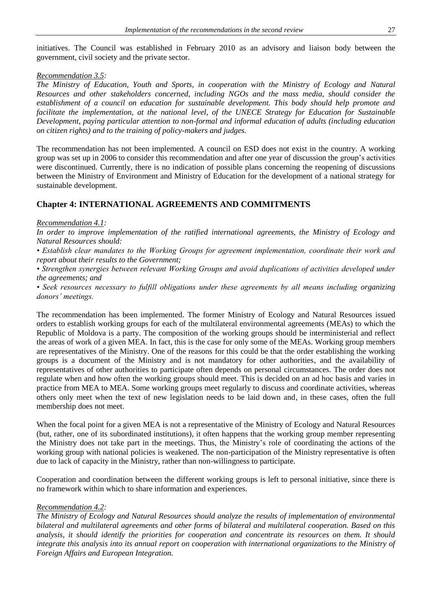initiatives. The Council was established in February 2010 as an advisory and liaison body between the government, civil society and the private sector.

#### *Recommendation 3.5:*

*The Ministry of Education, Youth and Sports, in cooperation with the Ministry of Ecology and Natural Resources and other stakeholders concerned, including NGOs and the mass media, should consider the establishment of a council on education for sustainable development. This body should help promote and facilitate the implementation, at the national level, of the UNECE Strategy for Education for Sustainable Development, paying particular attention to non-formal and informal education of adults (including education on citizen rights) and to the training of policy-makers and judges.*

The recommendation has not been implemented. A council on ESD does not exist in the country. A working group was set up in 2006 to consider this recommendation and after one year of discussion the group's activities were discontinued. Currently, there is no indication of possible plans concerning the reopening of discussions between the Ministry of Environment and Ministry of Education for the development of a national strategy for sustainable development.

# **Chapter 4: INTERNATIONAL AGREEMENTS AND COMMITMENTS**

#### *Recommendation 4.1:*

*In order to improve implementation of the ratified international agreements, the Ministry of Ecology and Natural Resources should:*

*• Establish clear mandates to the Working Groups for agreement implementation, coordinate their work and report about their results to the Government;*

*• Strengthen synergies between relevant Working Groups and avoid duplications of activities developed under the agreements; and* 

*• Seek resources necessary to fulfill obligations under these agreements by all means including organizing donors' meetings.*

The recommendation has been implemented. The former Ministry of Ecology and Natural Resources issued orders to establish working groups for each of the multilateral environmental agreements (MEAs) to which the Republic of Moldova is a party. The composition of the working groups should be interministerial and reflect the areas of work of a given MEA. In fact, this is the case for only some of the MEAs. Working group members are representatives of the Ministry. One of the reasons for this could be that the order establishing the working groups is a document of the Ministry and is not mandatory for other authorities, and the availability of representatives of other authorities to participate often depends on personal circumstances. The order does not regulate when and how often the working groups should meet. This is decided on an ad hoc basis and varies in practice from MEA to MEA. Some working groups meet regularly to discuss and coordinate activities, whereas others only meet when the text of new legislation needs to be laid down and, in these cases, often the full membership does not meet.

When the focal point for a given MEA is not a representative of the Ministry of Ecology and Natural Resources (but, rather, one of its subordinated institutions), it often happens that the working group member representing the Ministry does not take part in the meetings. Thus, the Ministry's role of coordinating the actions of the working group with national policies is weakened. The non-participation of the Ministry representative is often due to lack of capacity in the Ministry, rather than non-willingness to participate.

Cooperation and coordination between the different working groups is left to personal initiative, since there is no framework within which to share information and experiences.

#### *Recommendation 4.2:*

*The Ministry of Ecology and Natural Resources should analyze the results of implementation of environmental bilateral and multilateral agreements and other forms of bilateral and multilateral cooperation. Based on this analysis, it should identify the priorities for cooperation and concentrate its resources on them. It should*  integrate this analysis into its annual report on cooperation with international organizations to the Ministry of *Foreign Affairs and European Integration.*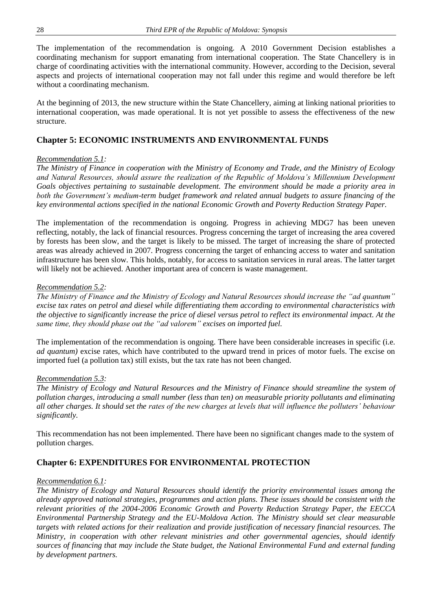The implementation of the recommendation is ongoing. A 2010 Government Decision establishes a coordinating mechanism for support emanating from international cooperation. The State Chancellery is in charge of coordinating activities with the international community. However, according to the Decision, several aspects and projects of international cooperation may not fall under this regime and would therefore be left without a coordinating mechanism.

At the beginning of 2013, the new structure within the State Chancellery, aiming at linking national priorities to international cooperation, was made operational. It is not yet possible to assess the effectiveness of the new structure.

## **Chapter 5: ECONOMIC INSTRUMENTS AND ENVIRONMENTAL FUNDS**

#### *Recommendation 5.1:*

*The Ministry of Finance in cooperation with the Ministry of Economy and Trade, and the Ministry of Ecology and Natural Resources, should assure the realization of the Republic of Moldova's Millennium Development Goals objectives pertaining to sustainable development. The environment should be made a priority area in both the Government's medium-term budget framework and related annual budgets to assure financing of the key environmental actions specified in the national Economic Growth and Poverty Reduction Strategy Paper.* 

The implementation of the recommendation is ongoing. Progress in achieving MDG7 has been uneven reflecting, notably, the lack of financial resources. Progress concerning the target of increasing the area covered by forests has been slow, and the target is likely to be missed. The target of increasing the share of protected areas was already achieved in 2007. Progress concerning the target of enhancing access to water and sanitation infrastructure has been slow. This holds, notably, for access to sanitation services in rural areas. The latter target will likely not be achieved. Another important area of concern is waste management.

#### *Recommendation 5.2:*

*The Ministry of Finance and the Ministry of Ecology and Natural Resources should increase the "ad quantum" excise tax rates on petrol and diesel while differentiating them according to environmental characteristics with the objective to significantly increase the price of diesel versus petrol to reflect its environmental impact. At the same time, they should phase out the "ad valorem" excises on imported fuel.* 

The implementation of the recommendation is ongoing. There have been considerable increases in specific (i.e. *ad quantum)* excise rates, which have contributed to the upward trend in prices of motor fuels. The excise on imported fuel (a pollution tax) still exists, but the tax rate has not been changed.

#### *Recommendation 5.3:*

*The Ministry of Ecology and Natural Resources and the Ministry of Finance should streamline the system of pollution charges, introducing a small number (less than ten) on measurable priority pollutants and eliminating all other charges. It should set the rates of the new charges at levels that will influence the polluters' behaviour significantly.*

This recommendation has not been implemented. There have been no significant changes made to the system of pollution charges.

# **Chapter 6: EXPENDITURES FOR ENVIRONMENTAL PROTECTION**

#### *Recommendation 6.1:*

*The Ministry of Ecology and Natural Resources should identify the priority environmental issues among the already approved national strategies, programmes and action plans. These issues should be consistent with the relevant priorities of the 2004-2006 Economic Growth and Poverty Reduction Strategy Paper, the EECCA Environmental Partnership Strategy and the EU-Moldova Action. The Ministry should set clear measurable targets with related actions for their realization and provide justification of necessary financial resources. The Ministry, in cooperation with other relevant ministries and other governmental agencies, should identify sources of financing that may include the State budget, the National Environmental Fund and external funding by development partners.*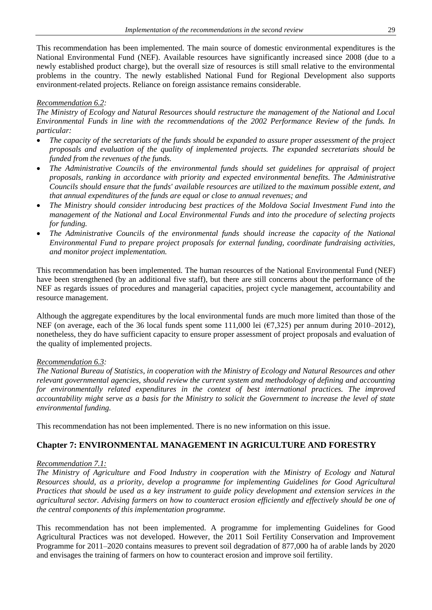This recommendation has been implemented. The main source of domestic environmental expenditures is the National Environmental Fund (NEF). Available resources have significantly increased since 2008 (due to a newly established product charge), but the overall size of resources is still small relative to the environmental problems in the country. The newly established National Fund for Regional Development also supports environment-related projects. Reliance on foreign assistance remains considerable.

#### *Recommendation 6.2:*

*The Ministry of Ecology and Natural Resources should restructure the management of the National and Local Environmental Funds in line with the recommendations of the 2002 Performance Review of the funds. In particular:*

- *The capacity of the secretariats of the funds should be expanded to assure proper assessment of the project proposals and evaluation of the quality of implemented projects. The expanded secretariats should be funded from the revenues of the funds.*
- *The Administrative Councils of the environmental funds should set guidelines for appraisal of project proposals, ranking in accordance with priority and expected environmental benefits. The Administrative Councils should ensure that the funds' available resources are utilized to the maximum possible extent, and that annual expenditures of the funds are equal or close to annual revenues; and*
- *The Ministry should consider introducing best practices of the Moldova Social Investment Fund into the management of the National and Local Environmental Funds and into the procedure of selecting projects for funding.*
- *The Administrative Councils of the environmental funds should increase the capacity of the National Environmental Fund to prepare project proposals for external funding, coordinate fundraising activities, and monitor project implementation.*

This recommendation has been implemented. The human resources of the National Environmental Fund (NEF) have been strengthened (by an additional five staff), but there are still concerns about the performance of the NEF as regards issues of procedures and managerial capacities, project cycle management, accountability and resource management.

Although the aggregate expenditures by the local environmental funds are much more limited than those of the NEF (on average, each of the 36 local funds spent some 111,000 lei (€7,325) per annum during 2010–2012), nonetheless, they do have sufficient capacity to ensure proper assessment of project proposals and evaluation of the quality of implemented projects.

#### *Recommendation 6.3:*

*The National Bureau of Statistics, in cooperation with the Ministry of Ecology and Natural Resources and other relevant governmental agencies, should review the current system and methodology of defining and accounting*  for environmentally related expenditures in the context of best international practices. The improved *accountability might serve as a basis for the Ministry to solicit the Government to increase the level of state environmental funding.*

This recommendation has not been implemented. There is no new information on this issue.

# **Chapter 7: ENVIRONMENTAL MANAGEMENT IN AGRICULTURE AND FORESTRY**

### *Recommendation 7.1:*

*The Ministry of Agriculture and Food Industry in cooperation with the Ministry of Ecology and Natural Resources should, as a priority, develop a programme for implementing Guidelines for Good Agricultural Practices that should be used as a key instrument to guide policy development and extension services in the agricultural sector. Advising farmers on how to counteract erosion efficiently and effectively should be one of the central components of this implementation programme.*

This recommendation has not been implemented. A programme for implementing Guidelines for Good Agricultural Practices was not developed. However, the 2011 Soil Fertility Conservation and Improvement Programme for 2011–2020 contains measures to prevent soil degradation of 877,000 ha of arable lands by 2020 and envisages the training of farmers on how to counteract erosion and improve soil fertility.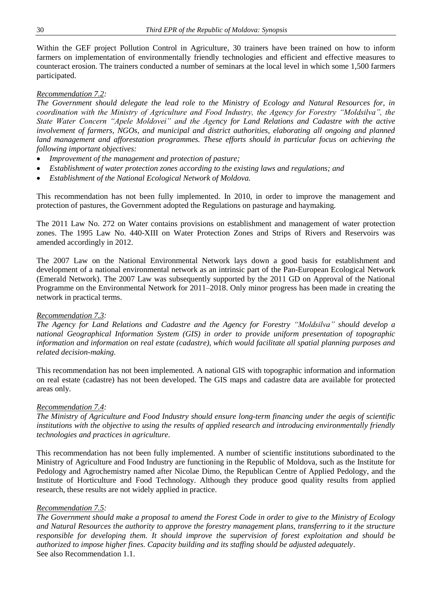Within the GEF project Pollution Control in Agriculture, 30 trainers have been trained on how to inform farmers on implementation of environmentally friendly technologies and efficient and effective measures to counteract erosion. The trainers conducted a number of seminars at the local level in which some 1,500 farmers participated.

#### *Recommendation 7.2:*

*The Government should delegate the lead role to the Ministry of Ecology and Natural Resources for, in coordination with the Ministry of Agriculture and Food Industry, the Agency for Forestry "Moldsilva", the State Water Concern "Apele Moldovei" and the Agency for Land Relations and Cadastre with the active involvement of farmers, NGOs, and municipal and district authorities, elaborating all ongoing and planned*  land management and afforestation programmes. These efforts should in particular focus on achieving the *following important objectives:* 

- *Improvement of the management and protection of pasture;*
- *Establishment of water protection zones according to the existing laws and regulations; and*
- *Establishment of the National Ecological Network of Moldova.*

This recommendation has not been fully implemented. In 2010, in order to improve the management and protection of pastures, the Government adopted the Regulations on pasturage and haymaking.

The 2011 Law No. 272 on Water contains provisions on establishment and management of water protection zones. The 1995 Law No. 440-XIII on Water Protection Zones and Strips of Rivers and Reservoirs was amended accordingly in 2012.

The 2007 Law on the National Environmental Network lays down a good basis for establishment and development of a national environmental network as an intrinsic part of the Pan-European Ecological Network (Emerald Network). The 2007 Law was subsequently supported by the 2011 GD on Approval of the National Programme on the Environmental Network for 2011–2018. Only minor progress has been made in creating the network in practical terms.

#### *Recommendation 7.3:*

*The Agency for Land Relations and Cadastre and the Agency for Forestry "Moldsilva" should develop a national Geographical Information System (GIS) in order to provide uniform presentation of topographic information and information on real estate (cadastre), which would facilitate all spatial planning purposes and related decision-making.*

This recommendation has not been implemented. A national GIS with topographic information and information on real estate (cadastre) has not been developed. The GIS maps and cadastre data are available for protected areas only.

#### *Recommendation 7.4:*

*The Ministry of Agriculture and Food Industry should ensure long-term financing under the aegis of scientific*  institutions with the objective to using the results of applied research and introducing environmentally friendly *technologies and practices in agriculture.* 

This recommendation has not been fully implemented. A number of scientific institutions subordinated to the Ministry of Agriculture and Food Industry are functioning in the Republic of Moldova, such as the Institute for Pedology and Agrochemistry named after Nicolae Dimo, the Republican Centre of Applied Pedology, and the Institute of Horticulture and Food Technology. Although they produce good quality results from applied research, these results are not widely applied in practice.

#### *Recommendation 7.5:*

*The Government should make a proposal to amend the Forest Code in order to give to the Ministry of Ecology and Natural Resources the authority to approve the forestry management plans, transferring to it the structure responsible for developing them. It should improve the supervision of forest exploitation and should be authorized to impose higher fines. Capacity building and its staffing should be adjusted adequately*. See also Recommendation 1.1.